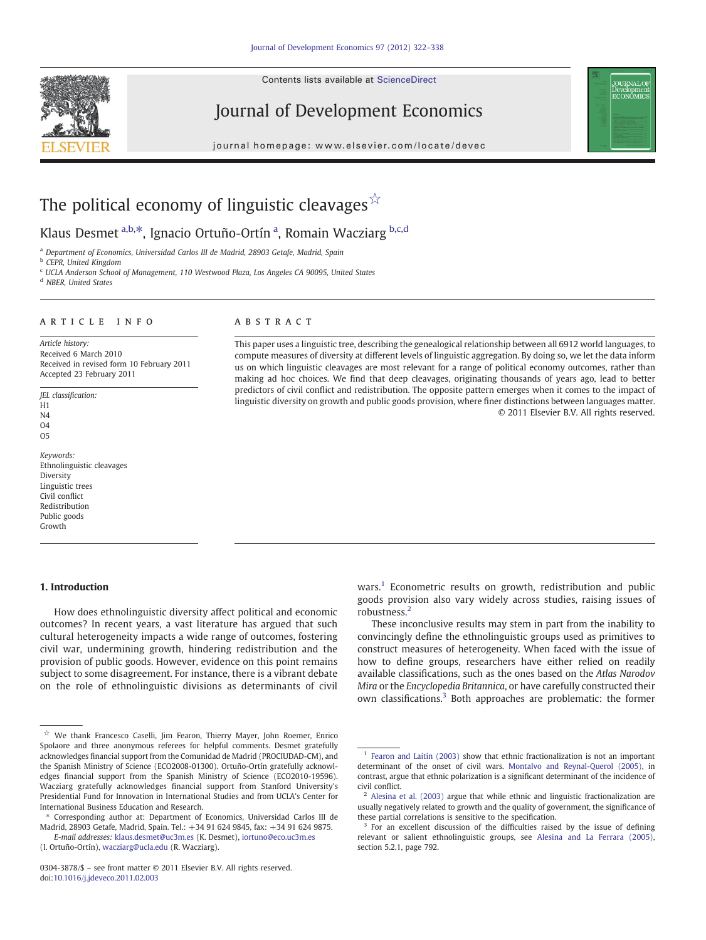Contents lists available at [ScienceDirect](http://www.sciencedirect.com/science/journal/03043878)







# The political economy of linguistic cleavages  $\overrightarrow{x}$

## Klaus Desmet <sup>a,b, $*$ </sup>, Ignacio Ortuño-Ortín <sup>a</sup>, Romain Wacziarg <sup>b,c,d</sup>

<sup>a</sup> Department of Economics, Universidad Carlos III de Madrid, 28903 Getafe, Madrid, Spain

**b** CEPR, United Kingdom

<sup>c</sup> UCLA Anderson School of Management, 110 Westwood Plaza, Los Angeles CA 90095, United States

<sup>d</sup> NBER, United States

#### ARTICLE INFO ABSTRACT

Article history: Received 6 March 2010 Received in revised form 10 February 2011 Accepted 23 February 2011

JEL classification: H1 N4 O4 O5

Keywords: Ethnolinguistic cleavages **Diversity** Linguistic trees Civil conflict Redistribution Public goods Growth

### 1. Introduction

How does ethnolinguistic diversity affect political and economic outcomes? In recent years, a vast literature has argued that such cultural heterogeneity impacts a wide range of outcomes, fostering civil war, undermining growth, hindering redistribution and the provision of public goods. However, evidence on this point remains subject to some disagreement. For instance, there is a vibrant debate on the role of ethnolinguistic divisions as determinants of civil

⁎ Corresponding author at: Department of Economics, Universidad Carlos III de Madrid, 28903 Getafe, Madrid, Spain. Tel.: +34 91 624 9845, fax: +34 91 624 9875. E-mail addresses: [klaus.desmet@uc3m.es](mailto:klaus.desmet@uc3m.es) (K. Desmet), [iortuno@eco.uc3m.es](mailto:iortuno@eco.uc3m.es)

(I. Ortuño-Ortín), [wacziarg@ucla.edu](mailto:wacziarg@ucla.edu) (R. Wacziarg).

This paper uses a linguistic tree, describing the genealogical relationship between all 6912 world languages, to compute measures of diversity at different levels of linguistic aggregation. By doing so, we let the data inform us on which linguistic cleavages are most relevant for a range of political economy outcomes, rather than making ad hoc choices. We find that deep cleavages, originating thousands of years ago, lead to better predictors of civil conflict and redistribution. The opposite pattern emerges when it comes to the impact of linguistic diversity on growth and public goods provision, where finer distinctions between languages matter. © 2011 Elsevier B.V. All rights reserved.

> wars.<sup>1</sup> Econometric results on growth, redistribution and public goods provision also vary widely across studies, raising issues of robustness.<sup>2</sup>

> These inconclusive results may stem in part from the inability to convincingly define the ethnolinguistic groups used as primitives to construct measures of heterogeneity. When faced with the issue of how to define groups, researchers have either relied on readily available classifications, such as the ones based on the Atlas Narodov Mira or the Encyclopedia Britannica, or have carefully constructed their own classifications.3 Both approaches are problematic: the former

<sup>☆</sup> We thank Francesco Caselli, Jim Fearon, Thierry Mayer, John Roemer, Enrico Spolaore and three anonymous referees for helpful comments. Desmet gratefully acknowledges financial support from the Comunidad de Madrid (PROCIUDAD-CM), and the Spanish Ministry of Science (ECO2008-01300). Ortuño-Ortín gratefully acknowledges financial support from the Spanish Ministry of Science (ECO2010-19596). Wacziarg gratefully acknowledges financial support from Stanford University's Presidential Fund for Innovation in International Studies and from UCLA's Center for International Business Education and Research.

<sup>0304-3878/\$</sup> – see front matter © 2011 Elsevier B.V. All rights reserved. doi[:10.1016/j.jdeveco.2011.02.003](http://dx.doi.org/10.1016/j.jdeveco.2011.02.003)

<sup>&</sup>lt;sup>1</sup> [Fearon and Laitin \(2003\)](#page--1-0) show that ethnic fractionalization is not an important determinant of the onset of civil wars. [Montalvo and Reynal-Querol \(2005\),](#page--1-0) in contrast, argue that ethnic polarization is a significant determinant of the incidence of civil conflict.

 $2$  [Alesina et al. \(2003\)](#page--1-0) argue that while ethnic and linguistic fractionalization are usually negatively related to growth and the quality of government, the significance of these partial correlations is sensitive to the specification.

<sup>&</sup>lt;sup>3</sup> For an excellent discussion of the difficulties raised by the issue of defining relevant or salient ethnolinguistic groups, see [Alesina and La Ferrara \(2005\)](#page--1-0), section 5.2.1, page 792.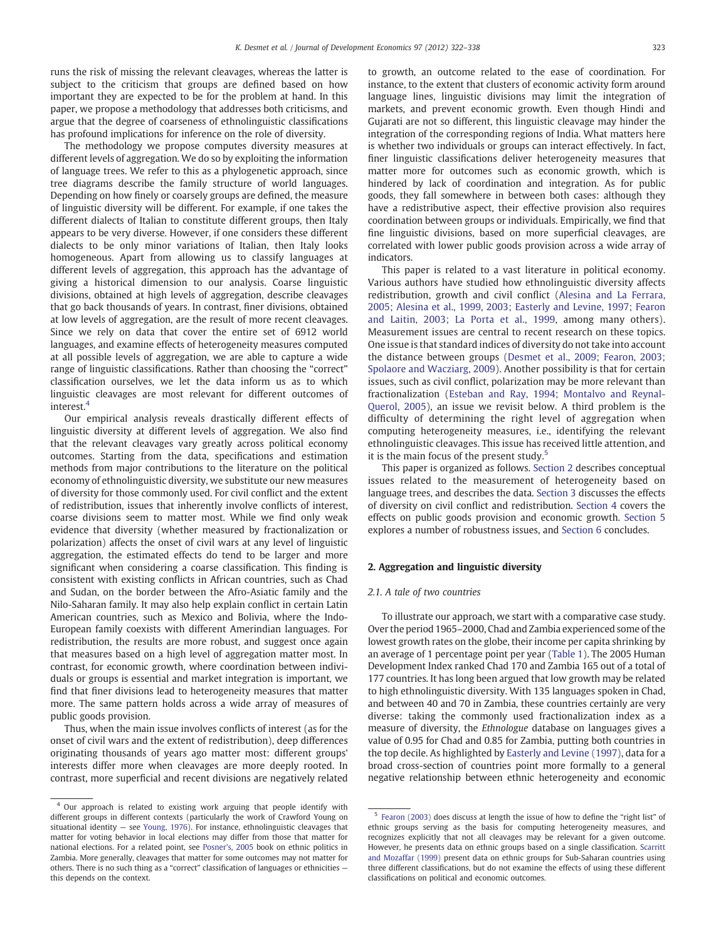runs the risk of missing the relevant cleavages, whereas the latter is subject to the criticism that groups are defined based on how important they are expected to be for the problem at hand. In this paper, we propose a methodology that addresses both criticisms, and argue that the degree of coarseness of ethnolinguistic classifications has profound implications for inference on the role of diversity.

The methodology we propose computes diversity measures at different levels of aggregation. We do so by exploiting the information of language trees. We refer to this as a phylogenetic approach, since tree diagrams describe the family structure of world languages. Depending on how finely or coarsely groups are defined, the measure of linguistic diversity will be different. For example, if one takes the different dialects of Italian to constitute different groups, then Italy appears to be very diverse. However, if one considers these different dialects to be only minor variations of Italian, then Italy looks homogeneous. Apart from allowing us to classify languages at different levels of aggregation, this approach has the advantage of giving a historical dimension to our analysis. Coarse linguistic divisions, obtained at high levels of aggregation, describe cleavages that go back thousands of years. In contrast, finer divisions, obtained at low levels of aggregation, are the result of more recent cleavages. Since we rely on data that cover the entire set of 6912 world languages, and examine effects of heterogeneity measures computed at all possible levels of aggregation, we are able to capture a wide range of linguistic classifications. Rather than choosing the "correct" classification ourselves, we let the data inform us as to which linguistic cleavages are most relevant for different outcomes of interest.4

Our empirical analysis reveals drastically different effects of linguistic diversity at different levels of aggregation. We also find that the relevant cleavages vary greatly across political economy outcomes. Starting from the data, specifications and estimation methods from major contributions to the literature on the political economy of ethnolinguistic diversity, we substitute our new measures of diversity for those commonly used. For civil conflict and the extent of redistribution, issues that inherently involve conflicts of interest, coarse divisions seem to matter most. While we find only weak evidence that diversity (whether measured by fractionalization or polarization) affects the onset of civil wars at any level of linguistic aggregation, the estimated effects do tend to be larger and more significant when considering a coarse classification. This finding is consistent with existing conflicts in African countries, such as Chad and Sudan, on the border between the Afro-Asiatic family and the Nilo-Saharan family. It may also help explain conflict in certain Latin American countries, such as Mexico and Bolivia, where the Indo-European family coexists with different Amerindian languages. For redistribution, the results are more robust, and suggest once again that measures based on a high level of aggregation matter most. In contrast, for economic growth, where coordination between individuals or groups is essential and market integration is important, we find that finer divisions lead to heterogeneity measures that matter more. The same pattern holds across a wide array of measures of public goods provision.

Thus, when the main issue involves conflicts of interest (as for the onset of civil wars and the extent of redistribution), deep differences originating thousands of years ago matter most: different groups' interests differ more when cleavages are more deeply rooted. In contrast, more superficial and recent divisions are negatively related to growth, an outcome related to the ease of coordination. For instance, to the extent that clusters of economic activity form around language lines, linguistic divisions may limit the integration of markets, and prevent economic growth. Even though Hindi and Gujarati are not so different, this linguistic cleavage may hinder the integration of the corresponding regions of India. What matters here is whether two individuals or groups can interact effectively. In fact, finer linguistic classifications deliver heterogeneity measures that matter more for outcomes such as economic growth, which is hindered by lack of coordination and integration. As for public goods, they fall somewhere in between both cases: although they have a redistributive aspect, their effective provision also requires coordination between groups or individuals. Empirically, we find that fine linguistic divisions, based on more superficial cleavages, are correlated with lower public goods provision across a wide array of indicators.

This paper is related to a vast literature in political economy. Various authors have studied how ethnolinguistic diversity affects redistribution, growth and civil conflict ([Alesina and La Ferrara,](#page--1-0) [2005; Alesina et al., 1999, 2003; Easterly and Levine, 1997; Fearon](#page--1-0) [and Laitin, 2003; La Porta et al., 1999,](#page--1-0) among many others). Measurement issues are central to recent research on these topics. One issue is that standard indices of diversity do not take into account the distance between groups ([Desmet et al., 2009; Fearon, 2003;](#page--1-0) [Spolaore and Wacziarg, 2009\)](#page--1-0). Another possibility is that for certain issues, such as civil conflict, polarization may be more relevant than fractionalization ([Esteban and Ray, 1994; Montalvo and Reynal-](#page--1-0)[Querol, 2005\)](#page--1-0), an issue we revisit below. A third problem is the difficulty of determining the right level of aggregation when computing heterogeneity measures, i.e., identifying the relevant ethnolinguistic cleavages. This issue has received little attention, and it is the main focus of the present study.<sup>5</sup>

This paper is organized as follows. Section 2 describes conceptual issues related to the measurement of heterogeneity based on language trees, and describes the data. [Section 3](#page--1-0) discusses the effects of diversity on civil conflict and redistribution. [Section 4](#page--1-0) covers the effects on public goods provision and economic growth. [Section 5](#page--1-0) explores a number of robustness issues, and [Section 6](#page--1-0) concludes.

### 2. Aggregation and linguistic diversity

### 2.1. A tale of two countries

To illustrate our approach, we start with a comparative case study. Over the period 1965–2000, Chad and Zambia experienced some of the lowest growth rates on the globe, their income per capita shrinking by an average of 1 percentage point per year ([Table 1\)](#page--1-0). The 2005 Human Development Index ranked Chad 170 and Zambia 165 out of a total of 177 countries. It has long been argued that low growth may be related to high ethnolinguistic diversity. With 135 languages spoken in Chad, and between 40 and 70 in Zambia, these countries certainly are very diverse: taking the commonly used fractionalization index as a measure of diversity, the Ethnologue database on languages gives a value of 0.95 for Chad and 0.85 for Zambia, putting both countries in the top decile. As highlighted by [Easterly and Levine \(1997\)](#page--1-0), data for a broad cross-section of countries point more formally to a general negative relationship between ethnic heterogeneity and economic

<sup>4</sup> Our approach is related to existing work arguing that people identify with different groups in different contexts (particularly the work of Crawford Young on situational identity — see [Young, 1976](#page--1-0)). For instance, ethnolinguistic cleavages that matter for voting behavior in local elections may differ from those that matter for national elections. For a related point, see [Posner's, 2005](#page--1-0) book on ethnic politics in Zambia. More generally, cleavages that matter for some outcomes may not matter for others. There is no such thing as a "correct" classification of languages or ethnicities this depends on the context.

<sup>5</sup> [Fearon \(2003\)](#page--1-0) does discuss at length the issue of how to define the "right list" of ethnic groups serving as the basis for computing heterogeneity measures, and recognizes explicitly that not all cleavages may be relevant for a given outcome. However, he presents data on ethnic groups based on a single classification. [Scarritt](#page--1-0) [and Mozaffar \(1999\)](#page--1-0) present data on ethnic groups for Sub-Saharan countries using three different classifications, but do not examine the effects of using these different classifications on political and economic outcomes.